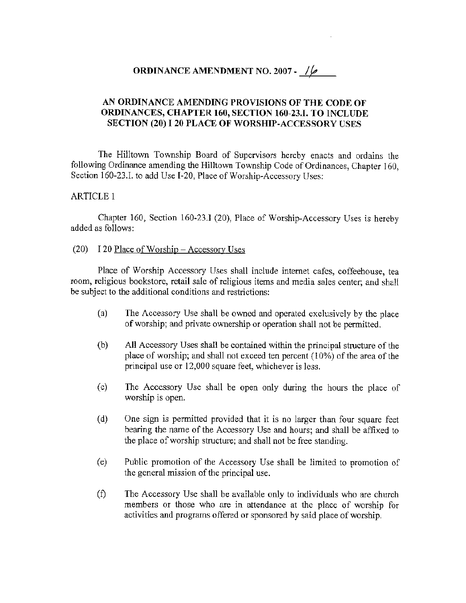# **ORDINANCE AMENDMENT NO. 2007 -** 16

## **AN ORDINANCE AMENDING PROVISIONS OF THE CODE OF ORDINANCES, CHAPTER 160, SECTION 160-23.1. TO INCLUDE SECTION (20)** I **20 PLACE OF \VORSHIP-ACCESSORY USES**

The Hilltown Township Board of Supervisors hereby enacts and ordains the following Ordinance amending the Hilltown Township Code of Ordinances, Chapter 160, Section 160-23.L to add Use I-20, Place of Worship-Accessory Uses:

## ARTICLE 1

Chapter 160, Section 160-23.1 (20), Place of Worship-Accessory Uses is hereby added as follows:

#### (20) I 20 Place of Worship - Accessory Uses

Place of Worship Accessory Uses shall include internet cafes, coffeehouse, tea room, religious bookstore, retail sale of religious items and media sales center; and shall be subject to the additional conditions and restrictions:

- (a) The Accessory Use shall be owned and operated exclusively by the place of worship; and private ownership or operation shall not be permitted.
- (b) All Accessory Uses shall be contained within the principal strncture of the place of worship; and shall not exceed ten percent ( 10%) of the area of the principal use or 12,000 square feet, whichever is less.
- ( c) The Accessory Use shall be open only during the hours the place of worship is open.
- (d) One sign is permitted provided that it is no larger than four square feet bearing the name of the Accessory Use and hours; and shall be affixed to the place of worship structure; and shall not be free standing.
- (e) Public promotion of the Accessory Use shall be limited to promotion of the general mission of the principal use.
- (f) The Accessory Use shall be available only to individuals who are church members or those who are in attendance at the place of worship for activities and programs offered or sponsored by said place of worship.